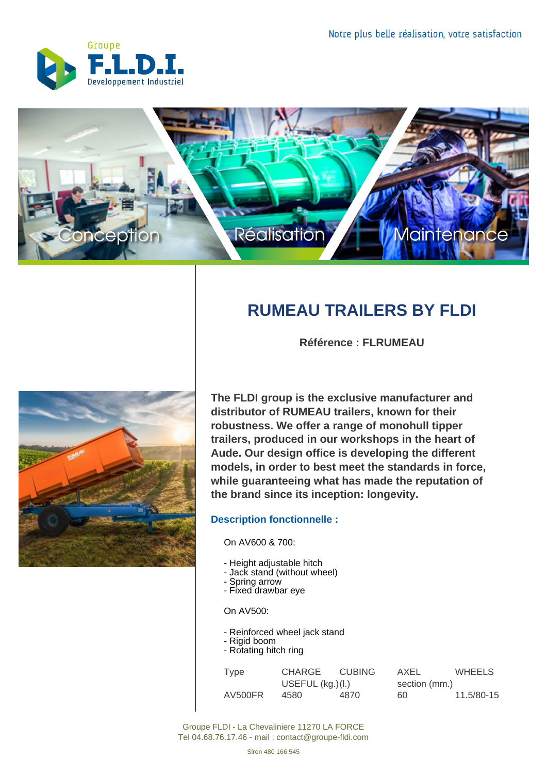



## **RUMEAU TRAILERS BY FLDI**

**Référence : FLRUMEAU**



**The FLDI group is the exclusive manufacturer and distributor of RUMEAU trailers, known for their robustness. We offer a range of monohull tipper trailers, produced in our workshops in the heart of Aude. Our design office is developing the different models, in order to best meet the standards in force, while guaranteeing what has made the reputation of the brand since its inception: longevity.**

## **Description fonctionnelle :**

On AV600 & 700:

- Height adjustable hitch
- Jack stand (without wheel)
- Spring arrow
- Fixed drawbar eye

On AV500:

- Reinforced wheel jack stand
- Rigid boom - Rotating hitch ring

| Type    | CHARGE CUBING      |      | AXEL          | <b>WHEELS</b> |
|---------|--------------------|------|---------------|---------------|
|         | USEFUL $(kg.)(I.)$ |      | section (mm.) |               |
| AV500FR | 4580               | 4870 | 60.           | 11.5/80-15    |

Groupe FLDI - La Chevaliniere 11270 LA FORCE Tel 04.68.76.17.46 - mail : contact@groupe-fldi.com